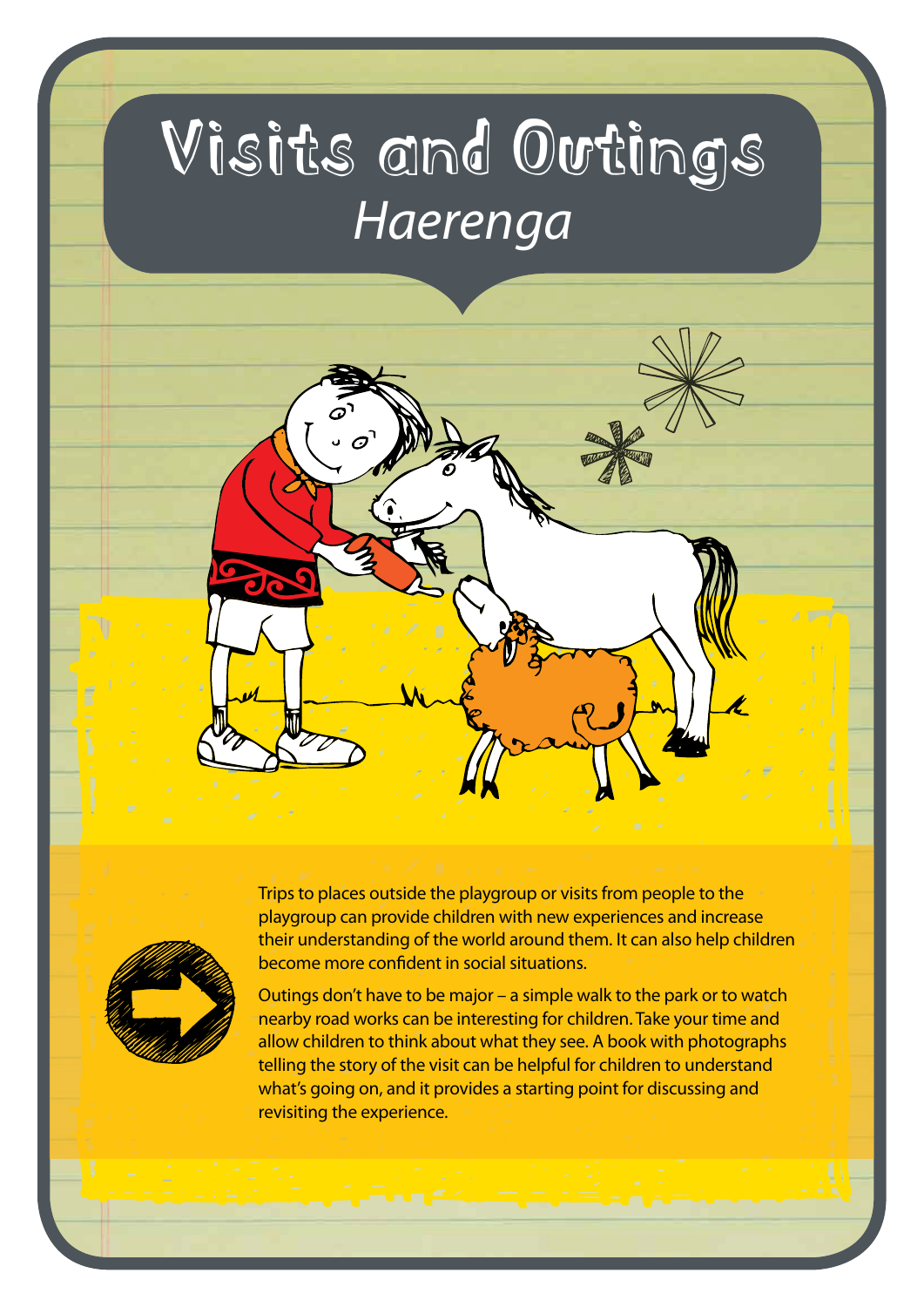# Visits and Outings *Haerenga*





Trips to places outside the playgroup or visits from people to the playgroup can provide children with new experiences and increase their understanding of the world around them. It can also help children become more confident in social situations.

Outings don't have to be major – a simple walk to the park or to watch nearby road works can be interesting for children. Take your time and allow children to think about what they see. A book with photographs telling the story of the visit can be helpful for children to understand what's going on, and it provides a starting point for discussing and revisiting the experience.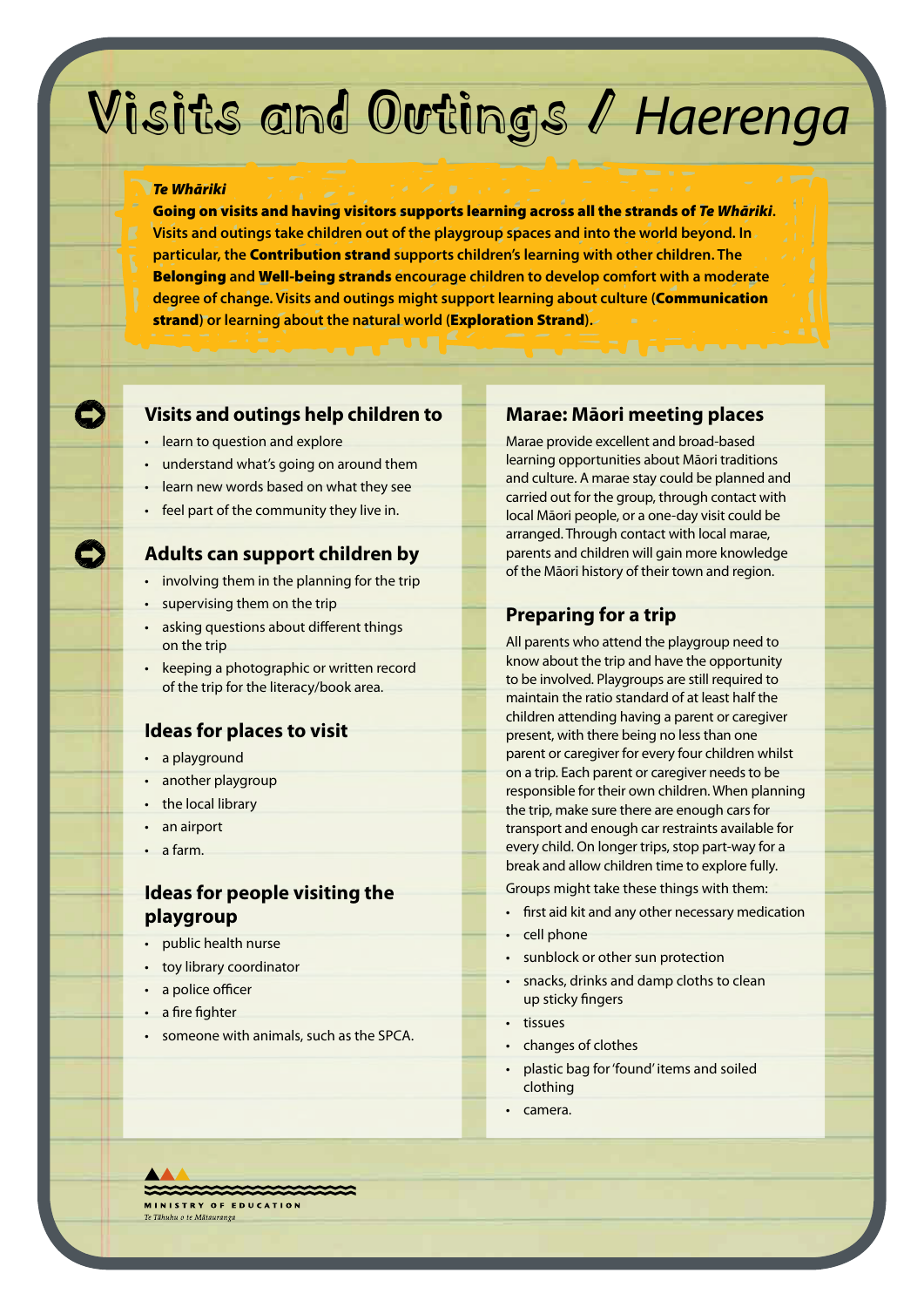### Visits and Outings / *Haerenga*

#### *Te Whāriki*

Going on visits and having visitors supports learning across all the strands of *Te Whāriki***. Visits and outings take children out of the playgroup spaces and into the world beyond. In particular, the** Contribution strand **supports children's learning with other children. The**  Belonging **and** Well-being strands **encourage children to develop comfort with a moderate degree of change. Visits and outings might support learning about culture (**Communication strand**) or learning about the natural world (**Exploration Strand**).**

#### **Visits and outings help children to**

- learn to question and explore
- understand what's going on around them
- learn new words based on what they see
- feel part of the community they live in.

#### **Adults can support children by**

- involving them in the planning for the trip
- supervising them on the trip
- asking questions about different things on the trip
- keeping a photographic or written record of the trip for the literacy/book area.

#### **Ideas for places to visit**

- a playground
- another playgroup
- the local library
- an airport
- a farm.

#### **Ideas for people visiting the playgroup**

- public health nurse
- toy library coordinator
- a police officer
- a fire fighter
- someone with animals, such as the SPCA.

#### **Marae: Māori meeting places**

Marae provide excellent and broad-based learning opportunities about Māori traditions and culture. A marae stay could be planned and carried out for the group, through contact with local Māori people, or a one-day visit could be arranged. Through contact with local marae, parents and children will gain more knowledge of the Māori history of their town and region.

#### **Preparing for a trip**

All parents who attend the playgroup need to know about the trip and have the opportunity to be involved. Playgroups are still required to maintain the ratio standard of at least half the children attending having a parent or caregiver present, with there being no less than one parent or caregiver for every four children whilst on a trip. Each parent or caregiver needs to be responsible for their own children. When planning the trip, make sure there are enough cars for transport and enough car restraints available for every child. On longer trips, stop part-way for a break and allow children time to explore fully.

Groups might take these things with them:

- first aid kit and any other necessary medication
- cell phone
- sunblock or other sun protection
- snacks, drinks and damp cloths to clean up sticky fingers
- tissues
- changes of clothes
- plastic bag for 'found' items and soiled clothing
- camera.